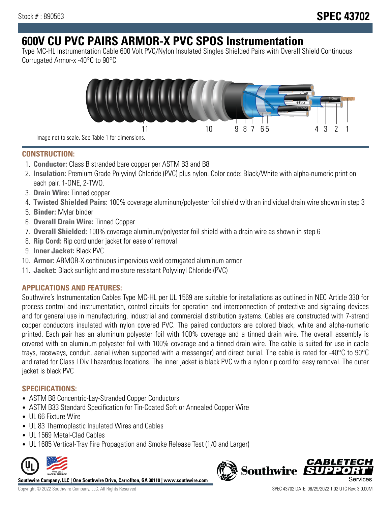# **600V CU PVC PAIRS ARMOR-X PVC SPOS Instrumentation**

Type MC-HL Instrumentation Cable 600 Volt PVC/Nylon Insulated Singles Shielded Pairs with Overall Shield Continuous Corrugated Armor-x -40°C to 90°C



**CONSTRUCTION:**

- 1. **Conductor:** Class B stranded bare copper per ASTM B3 and B8
- 2. **Insulation:** Premium Grade Polyvinyl Chloride (PVC) plus nylon. Color code: Black/White with alpha-numeric print on each pair. 1-ONE, 2-TWO.
- 3. **Drain Wire:** Tinned copper
- 4. **Twisted Shielded Pairs:** 100% coverage aluminum/polyester foil shield with an individual drain wire shown in step 3
- 5. **Binder:** Mylar binder
- 6. **Overall Drain Wire:** Tinned Copper
- 7. **Overall Shielded:** 100% coverage aluminum/polyester foil shield with a drain wire as shown in step 6
- 8. **Rip Cord:** Rip cord under jacket for ease of removal
- 9. **Inner Jacket:** Black PVC
- 10. **Armor:** ARMOR-X continuous impervious weld corrugated aluminum armor
- 11. **Jacket:** Black sunlight and moisture resistant Polyvinyl Chloride (PVC)

# **APPLICATIONS AND FEATURES:**

Southwire's Instrumentation Cables Type MC-HL per UL 1569 are suitable for installations as outlined in NEC Article 330 for process control and instrumentation, control circuits for operation and interconnection of protective and signaling devices and for general use in manufacturing, industrial and commercial distribution systems. Cables are constructed with 7-strand copper conductors insulated with nylon covered PVC. The paired conductors are colored black, white and alpha-numeric printed. Each pair has an aluminum polyester foil with 100% coverage and a tinned drain wire. The overall assembly is covered with an aluminum polyester foil with 100% coverage and a tinned drain wire. The cable is suited for use in cable trays, raceways, conduit, aerial (when supported with a messenger) and direct burial. The cable is rated for -40°C to 90°C and rated for Class I Div I hazardous locations. The inner jacket is black PVC with a nylon rip cord for easy removal. The outer jacket is black PVC

## **SPECIFICATIONS:**

- ASTM B8 Concentric-Lay-Stranded Copper Conductors
- ASTM B33 Standard Specification for Tin-Coated Soft or Annealed Copper Wire
- UL 66 Fixture Wire
- UL 83 Thermoplastic Insulated Wires and Cables
- UL 1569 Metal-Clad Cables
- UL 1685 Vertical-Tray Fire Propagation and Smoke Release Test (1/0 and Larger)



**Southwire Company, LLC | One Southwire Drive, Carrollton, GA 30119 | www.southwire.com**